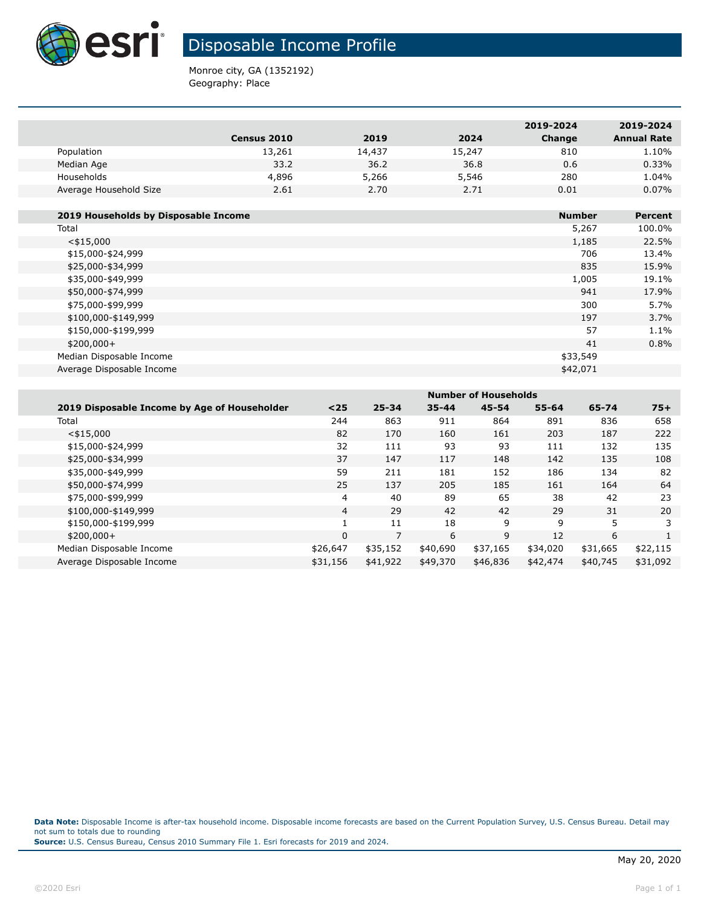

## Disposable Income Profile

Monroe city, GA (1352192) Geography: Place

|                        |                    |        |        | 2019-2024 | 2019-2024          |
|------------------------|--------------------|--------|--------|-----------|--------------------|
|                        | <b>Census 2010</b> | 2019   | 2024   | Change    | <b>Annual Rate</b> |
| Population             | 13,261             | 14,437 | 15,247 | 810       | 1.10%              |
| Median Age             | 33.2               | 36.2   | 36.8   | 0.6       | 0.33%              |
| Households             | 4,896              | 5,266  | 5,546  | 280       | 1.04%              |
| Average Household Size | 2.61               | 2.70   | 2.71   | 0.01      | $0.07\%$           |
|                        |                    |        |        |           |                    |

| 2019 Households by Disposable Income | <b>Number</b> | Percent |
|--------------------------------------|---------------|---------|
| Total                                | 5,267         | 100.0%  |
| $<$ \$15,000                         | 1,185         | 22.5%   |
| \$15,000-\$24,999                    | 706           | 13.4%   |
| \$25,000-\$34,999                    | 835           | 15.9%   |
| \$35,000-\$49,999                    | 1,005         | 19.1%   |
| \$50,000-\$74,999                    | 941           | 17.9%   |
| \$75,000-\$99,999                    | 300           | 5.7%    |
| \$100,000-\$149,999                  | 197           | 3.7%    |
| \$150,000-\$199,999                  | 57            | 1.1%    |
| $$200,000+$                          | 41            | 0.8%    |
| Median Disposable Income             | \$33,549      |         |
| Average Disposable Income            | \$42,071      |         |

| <b>Number of Households</b> |           |           |           |           |          |          |
|-----------------------------|-----------|-----------|-----------|-----------|----------|----------|
| $25$                        | $25 - 34$ | $35 - 44$ | $45 - 54$ | $55 - 64$ | 65-74    | $75+$    |
| 244                         | 863       | 911       | 864       | 891       | 836      | 658      |
| 82                          | 170       | 160       | 161       | 203       | 187      | 222      |
| 32                          | 111       | 93        | 93        | 111       | 132      | 135      |
| 37                          | 147       | 117       | 148       | 142       | 135      | 108      |
| 59                          | 211       | 181       | 152       | 186       | 134      | 82       |
| 25                          | 137       | 205       | 185       | 161       | 164      | 64       |
| 4                           | 40        | 89        | 65        | 38        | 42       | 23       |
| 4                           | 29        | 42        | 42        | 29        | 31       | 20       |
|                             | 11        | 18        | 9         | 9         | 5        | 3        |
| $\Omega$                    | 7         | 6         | 9         | 12        | 6        |          |
| \$26,647                    | \$35,152  | \$40,690  | \$37,165  | \$34,020  | \$31,665 | \$22,115 |
| \$31,156                    | \$41,922  | \$49,370  | \$46,836  | \$42,474  | \$40,745 | \$31,092 |
|                             |           |           |           |           |          |          |

**Data Note:** Disposable Income is after-tax household income. Disposable income forecasts are based on the Current Population Survey, U.S. Census Bureau. Detail may not sum to totals due to rounding